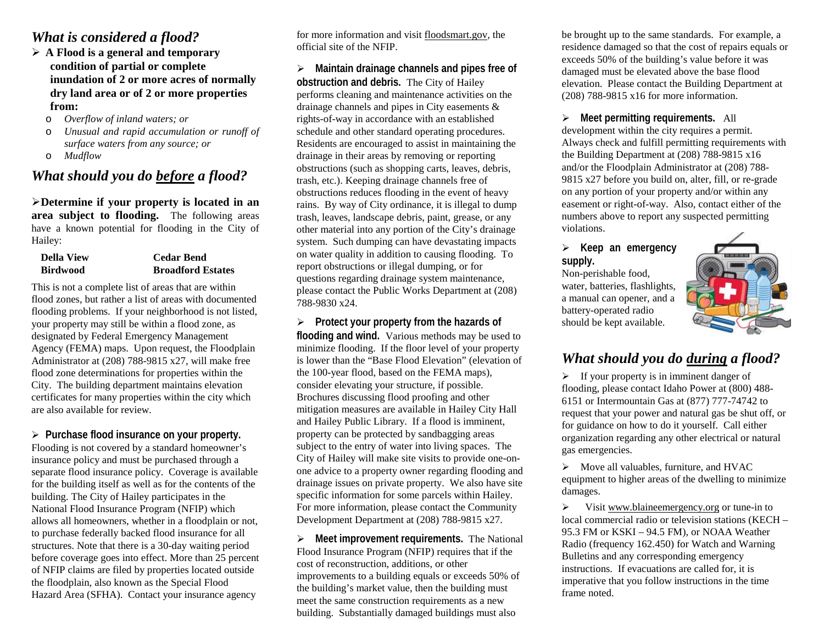#### *What is considered a flood?*

- **A Flood is a general and temporary condition of partial or complete inundation of 2 or more acres of normally dry land area or of 2 or more properties from:**
	- o *Overflow of inland waters; or*
	- o *Unusual and rapid accumulation or runoff of surface waters from any source; or*
	- o *Mudflow*

#### *What should you do before a flood?*

**Determine if your property is located in an area subject to flooding.** The following areas have a known potential for flooding in the City of Hailey:

| <b>Della View</b> | <b>Cedar Bend</b>        |
|-------------------|--------------------------|
| <b>Birdwood</b>   | <b>Broadford Estates</b> |

This is not a complete list of areas that are within flood zones, but rather a list of areas with documented flooding problems. If your neighborhood is not listed, your property may still be within a flood zone, as designated by Federal Emergency Management Agency (FEMA) maps. Upon request, the Floodplain Administrator at (208) 788-9815 x27, will make free flood zone determinations for properties within the City. The building department maintains elevation certificates for many properties within the city which are also available for review.

#### **Purchase flood insurance on your property.**

Flooding is not covered by a standard homeowner's insurance policy and must be purchased through a separate flood insurance policy. Coverage is available for the building itself as well as for the contents of the building. The City of Hailey participates in the National Flood Insurance Program (NFIP) which allows all homeowners, whether in a floodplain or not, to purchase federally backed flood insurance for all structures. Note that there is a 30-day waiting period before coverage goes into effect. More than 25 percent of NFIP claims are filed by properties located outside the floodplain, also known as the Special Flood Hazard Area (SFHA). Contact your insurance agency

for more information and visit floodsmart.gov, the official site of the NFIP.

 **Maintain drainage channels and pipes free of obstruction and debris.** The City of Hailey performs cleaning and maintenance activities on the drainage channels and pipes in City easements & rights-of-way in accordance with an established schedule and other standard operating procedures. Residents are encouraged to assist in maintaining the drainage in their areas by removing or reporting obstructions (such as shopping carts, leaves, debris, trash, etc.). Keeping drainage channels free of obstructions reduces flooding in the event of heavy rains. By way of City ordinance, it is illegal to dump trash, leaves, landscape debris, paint, grease, or any other material into any portion of the City's drainage system. Such dumping can have devastating impacts on water quality in addition to causing flooding. To report obstructions or illegal dumping, or for questions regarding drainage system maintenance, please contact the Public Works Department at (208) 788-9830 x24.

 **Protect your property from the hazards of flooding and wind.** Various methods may be used to minimize flooding. If the floor level of your property is lower than the "Base Flood Elevation" (elevation of the 100-year flood, based on the FEMA maps), consider elevating your structure, if possible. Brochures discussing flood proofing and other mitigation measures are available in Hailey City Hall and Hailey Public Library. If a flood is imminent, property can be protected by sandbagging areas subject to the entry of water into living spaces. The City of Hailey will make site visits to provide one-onone advice to a property owner regarding flooding and drainage issues on private property. We also have site specific information for some parcels within Hailey. For more information, please contact the Community Development Department at (208) 788-9815 x27.

**►** Meet improvement requirements. The National Flood Insurance Program (NFIP) requires that if the cost of reconstruction, additions, or other improvements to a building equals or exceeds 50% of the building's market value, then the building must meet the same construction requirements as a new building. Substantially damaged buildings must also

be brought up to the same standards. For example, a residence damaged so that the cost of repairs equals or exceeds 50% of the building's value before it was damaged must be elevated above the base flood elevation. Please contact the Building Department at (208) 788-9815 x16 for more information.

 **Meet permitting requirements.** All development within the city requires a permit. Always check and fulfill permitting requirements with the Building Department at (208) 788-9815 x16 and/or the Floodplain Administrator at (208) 788- 9815 x27 before you build on, alter, fill, or re-grade on any portion of your property and/or within any easement or right-of-way. Also, contact either of the numbers above to report any suspected permitting violations.

#### **Keep an emergency supply.**

Non-perishable food, water, batteries, flashlights, a manual can opener, and a battery-operated radio should be kept available.



# *What should you do during a flood?*

 $\triangleright$  If your property is in imminent danger of flooding, please contact Idaho Power at (800) 488- 6151 or Intermountain Gas at (877) 777-74742 to request that your power and natural gas be shut off, or for guidance on how to do it yourself. Call either organization regarding any other electrical or natural gas emergencies.

 $\triangleright$  Move all valuables, furniture, and HVAC equipment to higher areas of the dwelling to minimize damages.

 $\triangleright$  Visit www.blaineemergency.org or tune-in to local commercial radio or television stations (KECH – 95.3 FM or KSKI – 94.5 FM), or NOAA Weather Radio (frequency 162.450) for Watch and Warning Bulletins and any corresponding emergency instructions. If evacuations are called for, it is imperative that you follow instructions in the time frame noted.